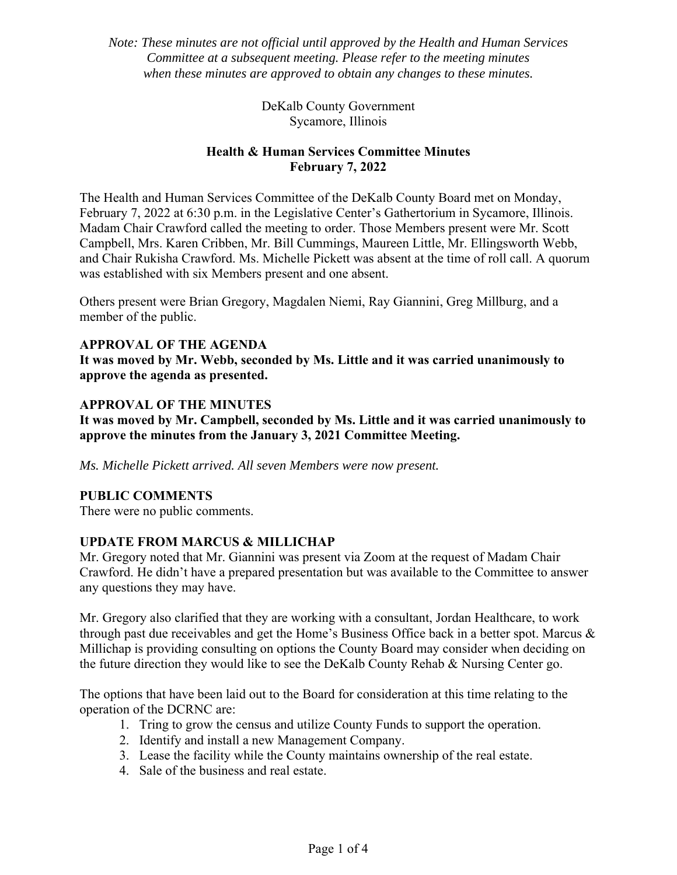*Note: These minutes are not official until approved by the Health and Human Services Committee at a subsequent meeting. Please refer to the meeting minutes when these minutes are approved to obtain any changes to these minutes.* 

> DeKalb County Government Sycamore, Illinois

# **Health & Human Services Committee Minutes February 7, 2022**

The Health and Human Services Committee of the DeKalb County Board met on Monday, February 7, 2022 at 6:30 p.m. in the Legislative Center's Gathertorium in Sycamore, Illinois. Madam Chair Crawford called the meeting to order. Those Members present were Mr. Scott Campbell, Mrs. Karen Cribben, Mr. Bill Cummings, Maureen Little, Mr. Ellingsworth Webb, and Chair Rukisha Crawford. Ms. Michelle Pickett was absent at the time of roll call. A quorum was established with six Members present and one absent.

Others present were Brian Gregory, Magdalen Niemi, Ray Giannini, Greg Millburg, and a member of the public.

## **APPROVAL OF THE AGENDA**

**It was moved by Mr. Webb, seconded by Ms. Little and it was carried unanimously to approve the agenda as presented.** 

## **APPROVAL OF THE MINUTES**

**It was moved by Mr. Campbell, seconded by Ms. Little and it was carried unanimously to approve the minutes from the January 3, 2021 Committee Meeting.** 

*Ms. Michelle Pickett arrived. All seven Members were now present.* 

## **PUBLIC COMMENTS**

There were no public comments.

## **UPDATE FROM MARCUS & MILLICHAP**

Mr. Gregory noted that Mr. Giannini was present via Zoom at the request of Madam Chair Crawford. He didn't have a prepared presentation but was available to the Committee to answer any questions they may have.

Mr. Gregory also clarified that they are working with a consultant, Jordan Healthcare, to work through past due receivables and get the Home's Business Office back in a better spot. Marcus & Millichap is providing consulting on options the County Board may consider when deciding on the future direction they would like to see the DeKalb County Rehab & Nursing Center go.

The options that have been laid out to the Board for consideration at this time relating to the operation of the DCRNC are:

- 1. Tring to grow the census and utilize County Funds to support the operation.
- 2. Identify and install a new Management Company.
- 3. Lease the facility while the County maintains ownership of the real estate.
- 4. Sale of the business and real estate.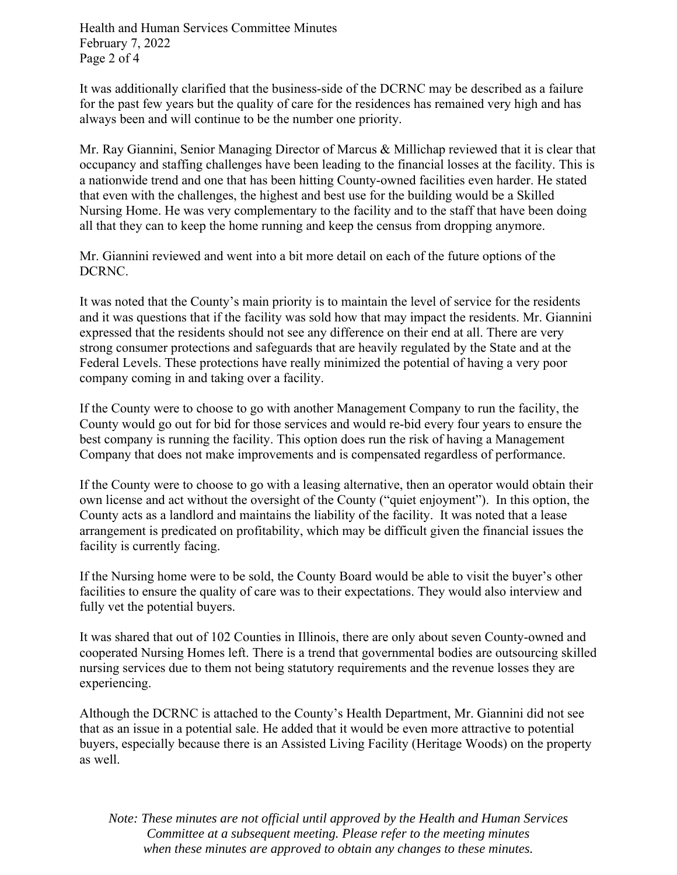Health and Human Services Committee Minutes February 7, 2022 Page 2 of 4

It was additionally clarified that the business-side of the DCRNC may be described as a failure for the past few years but the quality of care for the residences has remained very high and has always been and will continue to be the number one priority.

Mr. Ray Giannini, Senior Managing Director of Marcus & Millichap reviewed that it is clear that occupancy and staffing challenges have been leading to the financial losses at the facility. This is a nationwide trend and one that has been hitting County-owned facilities even harder. He stated that even with the challenges, the highest and best use for the building would be a Skilled Nursing Home. He was very complementary to the facility and to the staff that have been doing all that they can to keep the home running and keep the census from dropping anymore.

Mr. Giannini reviewed and went into a bit more detail on each of the future options of the DCRNC.

It was noted that the County's main priority is to maintain the level of service for the residents and it was questions that if the facility was sold how that may impact the residents. Mr. Giannini expressed that the residents should not see any difference on their end at all. There are very strong consumer protections and safeguards that are heavily regulated by the State and at the Federal Levels. These protections have really minimized the potential of having a very poor company coming in and taking over a facility.

If the County were to choose to go with another Management Company to run the facility, the County would go out for bid for those services and would re-bid every four years to ensure the best company is running the facility. This option does run the risk of having a Management Company that does not make improvements and is compensated regardless of performance.

If the County were to choose to go with a leasing alternative, then an operator would obtain their own license and act without the oversight of the County ("quiet enjoyment"). In this option, the County acts as a landlord and maintains the liability of the facility. It was noted that a lease arrangement is predicated on profitability, which may be difficult given the financial issues the facility is currently facing.

If the Nursing home were to be sold, the County Board would be able to visit the buyer's other facilities to ensure the quality of care was to their expectations. They would also interview and fully vet the potential buyers.

It was shared that out of 102 Counties in Illinois, there are only about seven County-owned and cooperated Nursing Homes left. There is a trend that governmental bodies are outsourcing skilled nursing services due to them not being statutory requirements and the revenue losses they are experiencing.

Although the DCRNC is attached to the County's Health Department, Mr. Giannini did not see that as an issue in a potential sale. He added that it would be even more attractive to potential buyers, especially because there is an Assisted Living Facility (Heritage Woods) on the property as well.

*Note: These minutes are not official until approved by the Health and Human Services Committee at a subsequent meeting. Please refer to the meeting minutes when these minutes are approved to obtain any changes to these minutes.*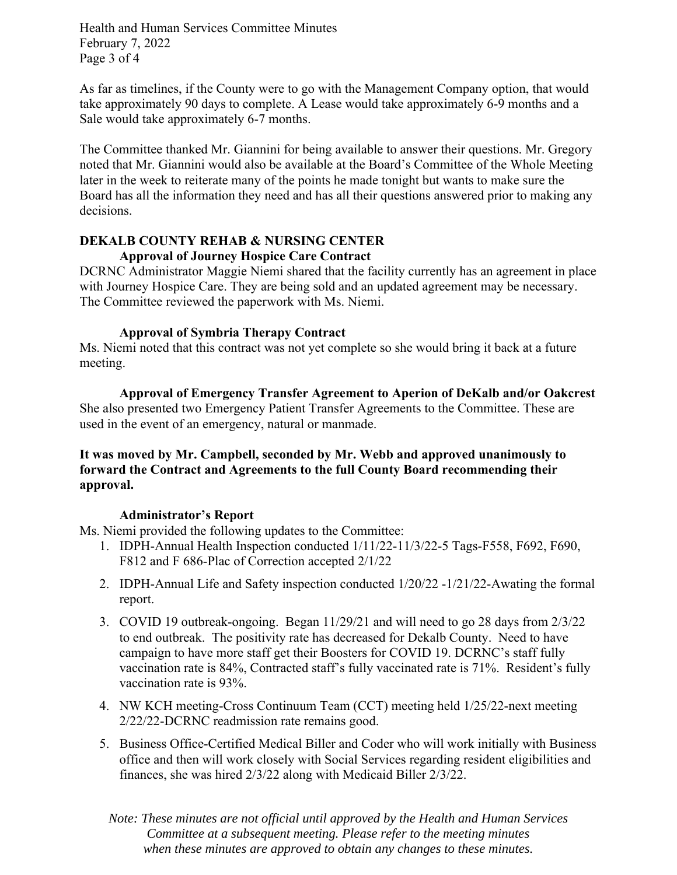Health and Human Services Committee Minutes February 7, 2022 Page 3 of 4

As far as timelines, if the County were to go with the Management Company option, that would take approximately 90 days to complete. A Lease would take approximately 6-9 months and a Sale would take approximately 6-7 months.

The Committee thanked Mr. Giannini for being available to answer their questions. Mr. Gregory noted that Mr. Giannini would also be available at the Board's Committee of the Whole Meeting later in the week to reiterate many of the points he made tonight but wants to make sure the Board has all the information they need and has all their questions answered prior to making any decisions.

#### **DEKALB COUNTY REHAB & NURSING CENTER Approval of Journey Hospice Care Contract**

DCRNC Administrator Maggie Niemi shared that the facility currently has an agreement in place with Journey Hospice Care. They are being sold and an updated agreement may be necessary. The Committee reviewed the paperwork with Ms. Niemi.

## **Approval of Symbria Therapy Contract**

Ms. Niemi noted that this contract was not yet complete so she would bring it back at a future meeting.

**Approval of Emergency Transfer Agreement to Aperion of DeKalb and/or Oakcrest**  She also presented two Emergency Patient Transfer Agreements to the Committee. These are used in the event of an emergency, natural or manmade.

## **It was moved by Mr. Campbell, seconded by Mr. Webb and approved unanimously to forward the Contract and Agreements to the full County Board recommending their approval.**

## **Administrator's Report**

Ms. Niemi provided the following updates to the Committee:

- 1. IDPH-Annual Health Inspection conducted 1/11/22-11/3/22-5 Tags-F558, F692, F690, F812 and F 686-Plac of Correction accepted 2/1/22
- 2. IDPH-Annual Life and Safety inspection conducted 1/20/22 -1/21/22-Awating the formal report.
- 3. COVID 19 outbreak-ongoing. Began 11/29/21 and will need to go 28 days from 2/3/22 to end outbreak. The positivity rate has decreased for Dekalb County. Need to have campaign to have more staff get their Boosters for COVID 19. DCRNC's staff fully vaccination rate is 84%, Contracted staff's fully vaccinated rate is 71%. Resident's fully vaccination rate is 93%.
- 4. NW KCH meeting-Cross Continuum Team (CCT) meeting held 1/25/22-next meeting 2/22/22-DCRNC readmission rate remains good.
- 5. Business Office-Certified Medical Biller and Coder who will work initially with Business office and then will work closely with Social Services regarding resident eligibilities and finances, she was hired 2/3/22 along with Medicaid Biller 2/3/22.

*Note: These minutes are not official until approved by the Health and Human Services Committee at a subsequent meeting. Please refer to the meeting minutes when these minutes are approved to obtain any changes to these minutes.*